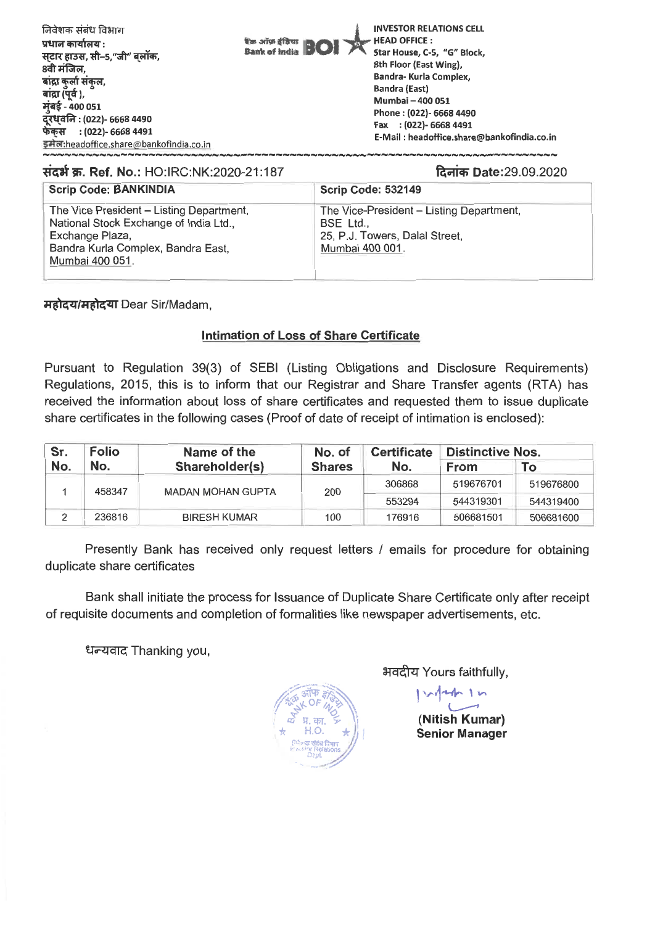

# **Tint W. Ref. No.: HO:IRC:NK:2020-21:187 / Times Date:29.09.2020** *ani Bate:29.09.2020*

| <b>Scrip Code: BANKINDIA</b>                                                                                                                                   | Scrip Code: 532149                                                                                         |
|----------------------------------------------------------------------------------------------------------------------------------------------------------------|------------------------------------------------------------------------------------------------------------|
| The Vice President - Listing Department,<br>National Stock Exchange of India Ltd.,<br>Exchange Plaza,<br>Bandra Kurla Complex, Bandra East,<br>Mumbai 400 051. | The Vice-President – Listing Department,<br>BSE Ltd.,<br>25, P.J. Towers, Dalal Street,<br>Mumbai 400 001. |

*a***fical/***Highan Dear Sir/Madam,* 

### **Intimation of Loss of Share Certificate**

**Pursuant to Regulation 39(3) of SEBI (Listing Obligations and Disclosure Requirements) Regulations, 2015, this is to inform that our Registrar and Share Transfer agents (RTA) has received the information about loss of share certificates and requested them to issue duplicate share certificates in the following cases (Proof of date of receipt of intimation is enclosed):** 

| Sr.<br>No. | <b>Folio</b><br>No. | Name of the<br>Shareholder(s) | No. of<br><b>Shares</b> | <b>Certificate</b><br>No. | <b>Distinctive Nos.</b> |           |
|------------|---------------------|-------------------------------|-------------------------|---------------------------|-------------------------|-----------|
|            |                     |                               |                         |                           | <b>From</b>             | To        |
|            | 458347              | <b>MADAN MOHAN GUPTA</b>      | 200                     | 306868                    | 519676701               | 519676800 |
|            |                     |                               |                         | 553294                    | 544319301               | 544319400 |
|            | 236816              | <b>BIRESH KUMAR</b>           | 100                     | 176916                    | 506681501               | 506681600 |

**Presently Bank has received only request letters / emails for procedure for obtaining duplicate share certificates** 

**Bank shall initiate the process for Issuance of Duplicate Share Certificate only after receipt of requisite documents and completion of formalities like newspaper advertisements, etc.** 

**ET,7-7147 Thanking you,** 



**21c1cM Yours faithfully,** 

**I ,..444- 1.-•** 

**(Nitish Kumar) Senior Manager**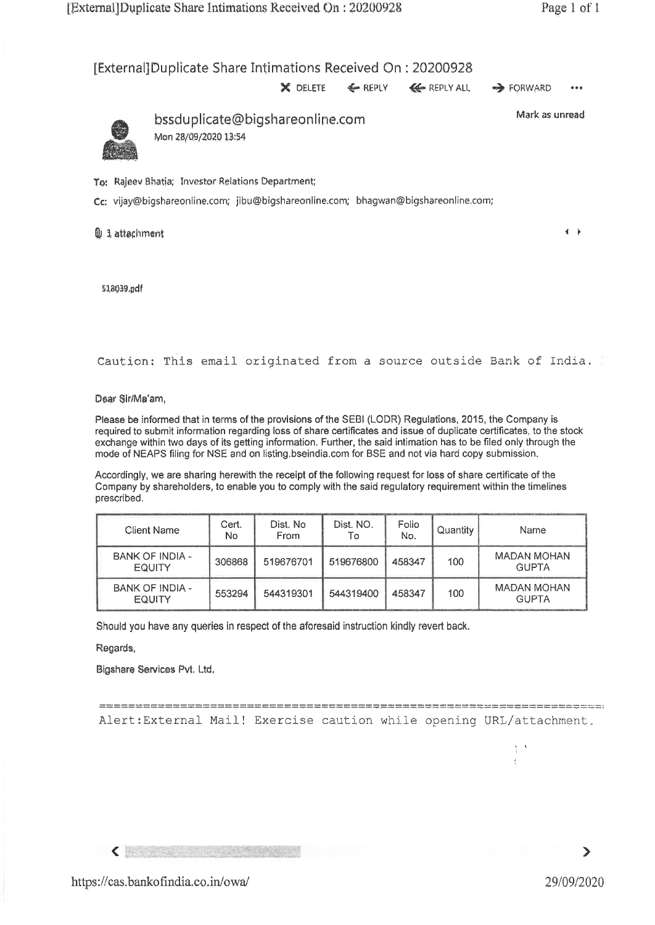## [External]Duplicate Share Intimations Received On : 20200928



Caution: This email originated from a source outside sank of India.

Dear Sir/Ma'am,

Please be informed that in terms of the provisions of the SEBI (LODR) Regulations, 2015, the Company is required to submit information regarding loss of share certificates and issue of duplicate certificates, to the stock exchange within two days of its getting information. Further, the said intimation has to be filed only through the mode of NEAPS filing for NSE and on listing.bseindia.com for BSE and not via hard copy submission.

Accordingly, we are sharing herewith the receipt of the following request for loss of share certificate of the Company by shareholders, to enable you to comply with the said regulatory requirement within the timelines prescribed.

| Client Name                             | Cert.<br>N <sub>o</sub> | Dist. No<br>From | Dist. NO.<br>T٥ | Folio<br>No. | Quantity | <b>Name</b>                        |
|-----------------------------------------|-------------------------|------------------|-----------------|--------------|----------|------------------------------------|
| <b>BANK OF INDIA -</b><br><b>EQUITY</b> | 306868                  | 519676701        | 519676800       | 458347       | 100      | MADAN MOHAN<br><b>GUPTA</b>        |
| BANK OF INDIA -<br><b>EQUITY</b>        | 553294                  | 544319301        | 544319400       | 458347       | 100      | <b>MADAN MOHAN</b><br><b>GUPTA</b> |

Should you have any queries in respect of the aforesaid instruction kindly revert back.

#### Regards,

Bigshars Services Pvt, Ltd.

Alert:External Mail! Exercise caution while opening URL/attachment.

 $\leftarrow$ 



 $\frac{1}{2}$   $\rightarrow$ ÷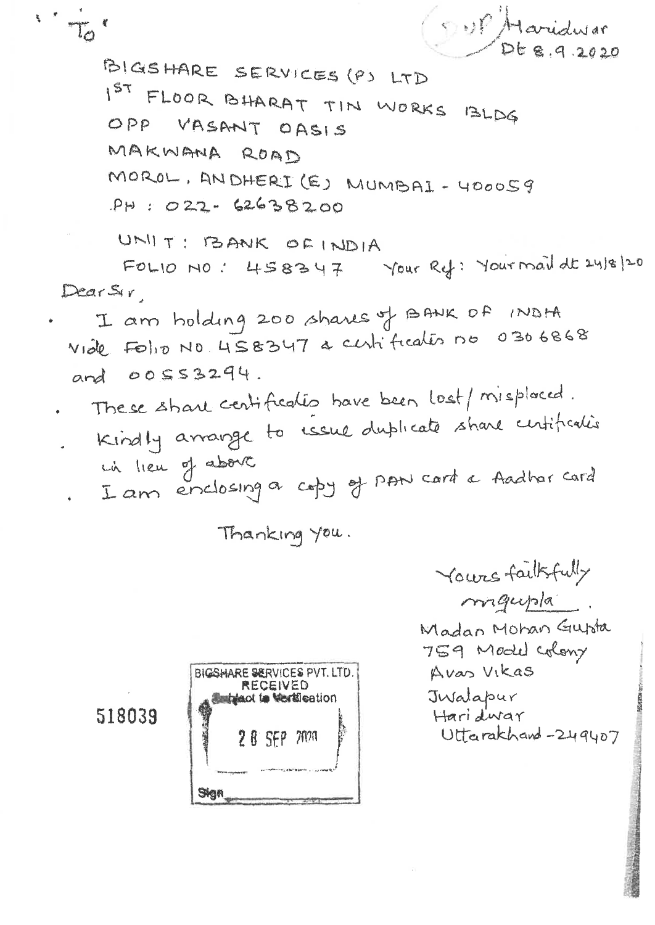$1.70$ 

OUP Haridwar BIGSHARE SERVICES (P) LTD FLOOR BHARAT TIN WORKS BLDG  $157$ OPP VASANT OASIS MAKWANA ROAD MOROL, ANDHERI (E) MUMBAI - 400059  $PH : 022 - 62638200$ 

UNIT: BANK OF INDIA

FOLIO NO: 458347 Your Ref: Your mail dt 24/8/20 DearSir

I am holding 200 shares of BANK OF INDHA Vide Folio No. 458347 a centification 00 0306868 and 00553294.

- These share centification have been lost/misplaced.
- Kindly arrange to usual duplicate share untification in lieu of about
- I am enclosing a copy of PAN card a Aadhar card

Thanking you.

Yours failsfully migupla. Madan Mohan Gupta 759 Model Colony Avas Vikas Jwalapur Haridwar Uttarakhand-249407

518039

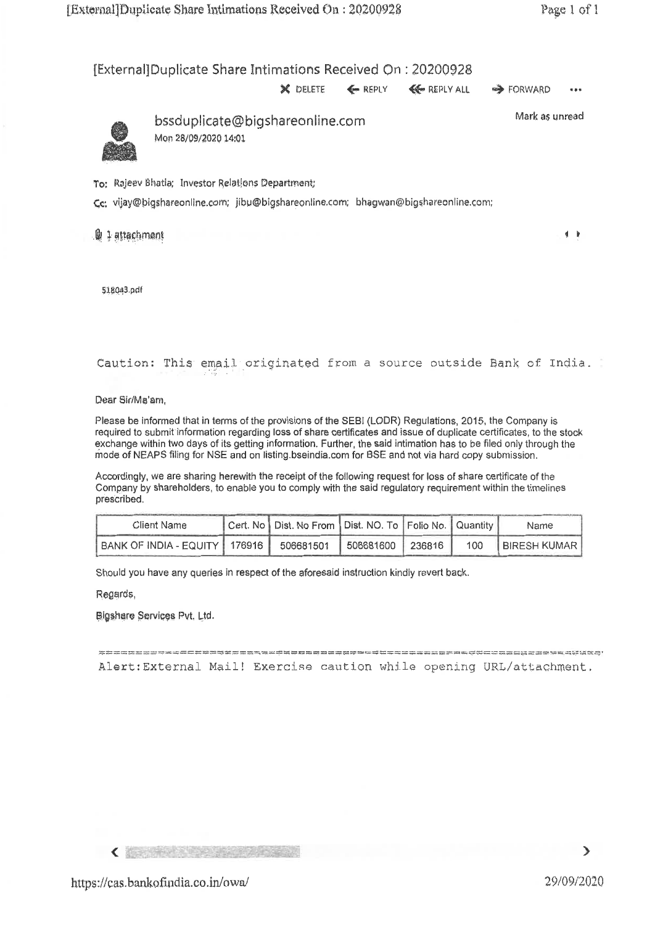# [External]Duplicate Share Intimations Received On : 20200928



Caution: This email- originated from a source outside Bank, of India.

Dear Sir/Ma'am,

Please be informed that in terms of the provisions of the SEBI (LODR) Regulations, 2015, the Company is required to submit information regarding loss of share certificates and issue of duplicate certificates, to the stock exchange within two days of its getting information. Further, the said intimation has to be filed only through the mode of NEAPS filing for NSE and on listing.bseindia.comfor BSE and not via hard copy submission.

Accordingly, we are sharing herewith the receipt of the following request for loss of share certificate of the Company by shareholders, to enable you to comply with the said regulatory requirement within the timelines prescribed.

| Client Name                                                      | Cert. No   Dist. No From   Dist. NO. To   Folio No.   Quantity |  |     | Name                    |
|------------------------------------------------------------------|----------------------------------------------------------------|--|-----|-------------------------|
| BANK OF INDIA - EQUITY   176916   506681501   506681600   236816 |                                                                |  | 100 | <b>I BIRESH KUMAR I</b> |

Should you have any queries in respect of the aforesaid instruction kindly revert back.

Regards,

Bigshare Services Rvt. Ltd.

= Alert :External Mail! Exercise caution while opening URL/attachment.